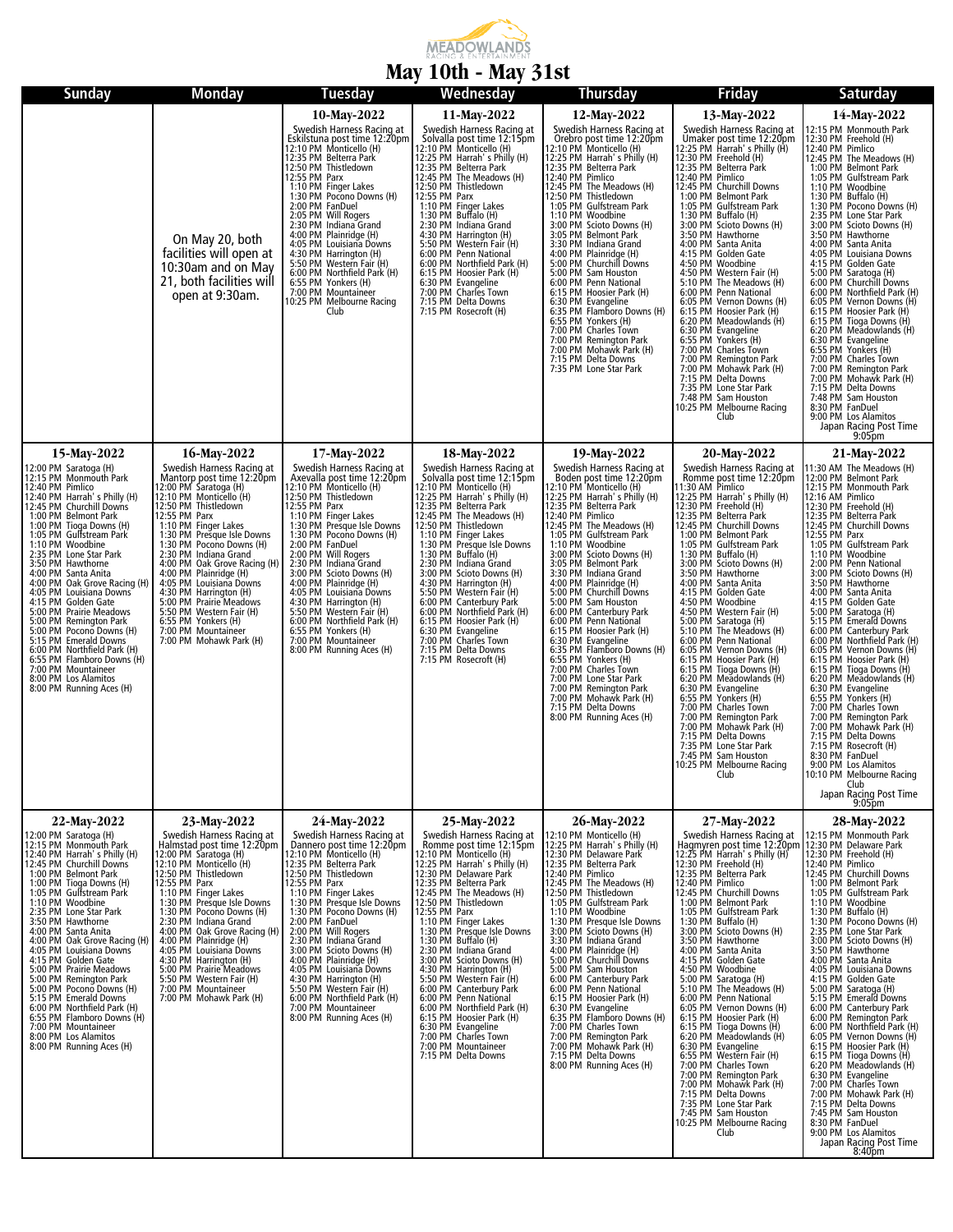

## **May 10th - May 31st**

| <b>Sunday</b>                                                                                                                                                                                                                                                                                                                                                                                                                                                                                                                                                                                                                                                                      | <b>Monday</b>                                                                                                                                                                                                                                                                                                                                                                                                                                                                                                                | Tuesday                                                                                                                                                                                                                                                                                                                                                                                                                                                                                                                                                                  | $\cdots$ $\cdots$<br>Wednesday                                                                                                                                                                                                                                                                                                                                                                                                                                                                                                                                                                                                                                             | <b>Thursday</b>                                                                                                                                                                                                                                                                                                                                                                                                                                                                                                                                                                                                                                                                                                                                                           | <b>Friday</b>                                                                                                                                                                                                                                                                                                                                                                                                                                                                                                                                                                                                                                                                                                                                                                                                                                                                                                                                                     | Saturday                                                                                                                                                                                                                                                                                                                                                                                                                                                                                                                                                                                                                                                                                                                                                                                                                                                                                                                                                                                                      |
|------------------------------------------------------------------------------------------------------------------------------------------------------------------------------------------------------------------------------------------------------------------------------------------------------------------------------------------------------------------------------------------------------------------------------------------------------------------------------------------------------------------------------------------------------------------------------------------------------------------------------------------------------------------------------------|------------------------------------------------------------------------------------------------------------------------------------------------------------------------------------------------------------------------------------------------------------------------------------------------------------------------------------------------------------------------------------------------------------------------------------------------------------------------------------------------------------------------------|--------------------------------------------------------------------------------------------------------------------------------------------------------------------------------------------------------------------------------------------------------------------------------------------------------------------------------------------------------------------------------------------------------------------------------------------------------------------------------------------------------------------------------------------------------------------------|----------------------------------------------------------------------------------------------------------------------------------------------------------------------------------------------------------------------------------------------------------------------------------------------------------------------------------------------------------------------------------------------------------------------------------------------------------------------------------------------------------------------------------------------------------------------------------------------------------------------------------------------------------------------------|---------------------------------------------------------------------------------------------------------------------------------------------------------------------------------------------------------------------------------------------------------------------------------------------------------------------------------------------------------------------------------------------------------------------------------------------------------------------------------------------------------------------------------------------------------------------------------------------------------------------------------------------------------------------------------------------------------------------------------------------------------------------------|-------------------------------------------------------------------------------------------------------------------------------------------------------------------------------------------------------------------------------------------------------------------------------------------------------------------------------------------------------------------------------------------------------------------------------------------------------------------------------------------------------------------------------------------------------------------------------------------------------------------------------------------------------------------------------------------------------------------------------------------------------------------------------------------------------------------------------------------------------------------------------------------------------------------------------------------------------------------|---------------------------------------------------------------------------------------------------------------------------------------------------------------------------------------------------------------------------------------------------------------------------------------------------------------------------------------------------------------------------------------------------------------------------------------------------------------------------------------------------------------------------------------------------------------------------------------------------------------------------------------------------------------------------------------------------------------------------------------------------------------------------------------------------------------------------------------------------------------------------------------------------------------------------------------------------------------------------------------------------------------|
|                                                                                                                                                                                                                                                                                                                                                                                                                                                                                                                                                                                                                                                                                    | On May 20, both<br>facilities will open at<br>10:30am and on May<br>21, both facilities will<br>open at 9:30am.                                                                                                                                                                                                                                                                                                                                                                                                              | 10-May-2022<br>Swedish Harness Racing at<br>Eskilstuna post time 12:20pm<br>12:10 PM Monticello (H)<br>12:35 PM Belterra Park<br>12:55 PM Parx<br>1:10 PM Finger Lakes<br>1:30 PM Pocono Downs (H)<br>2:00 PM FanDuel<br>2:05 PM Will Rogers<br>2:30 PM Indiana Grand<br>4:00 PM Plainridge (H)<br>4:05 PM Louisiana Downs<br>4:30 PM Harrington (H)<br>5:50 PM Western Fair (H)<br>6:00 PM Northfield Park (H)<br>6:55 PM Yonkers (H)<br>7:00 PM Mountaineer<br>10:25 PM Melbourne Racing<br>Club                                                                       | 11-May-2022<br>Swedish Harness Racing at<br>Solvalla post time 12:15pm<br>12:10 PM Monticello (H)<br>12:25 PM Harrah's Philly (H)<br>12:35 PM Belterra Park<br>12:45 PM The Meadows (H)<br>12:45 PM Thistidows (H)<br>12:50 PM Thistledown<br>12:55 PM Parx<br>1:10 PM Finger Lakes<br>1:30 PM Buffalo (H)<br>2:30 PM Indiana Grand<br>2.30 PM Harrington (H)<br>5:50 PM Western Fair (H)<br>5:50 PM Western Fair (H)<br>6:00 PM Northfield Park (H)<br>6:15 PM Hoosier Park (H)<br>6:30 PM Evangeline<br>7:00 PM Charles Town<br>7:15 PM Delta Downs<br>7:15 PM Rosecroft (H)                                                                                             | 12-May-2022<br>Swedish Harness Racing at<br>Orebro post time 12:20pm<br>View Monticello (H)<br>12:25 PM Harrah's Philly (H)<br>12:35 PM Belterra Park<br>12:40 PM Pimlico<br>12:45 PM The Meadows (H)<br>12:50 PM Thistledown<br>1:05 PM Gulfstream Park<br>1:10 PM Woodbine<br>3:00 PM Scioto Downs (H)<br>3:05 PM Belmont Park<br>3:30 PM Indiana Grand<br>4:00 PM Plainridge (H)<br>5:00 PM Churchill Downs<br>5:00 PM Sam Houston<br>6:00 PM Penn National<br>6:15 PM Hoosier Park (H)<br>6:30 PM Evangeline<br>6:35 PM Flamboro Downs (H)<br>6:55 PM Yonkers (H)<br>7:00 PM Charles Town<br>7:00 PM Remington Park<br>7:00 PM Mohawk Park (H)<br>7:15 PM Delta Downs<br>7:35 PM Lone Star Park                                                                       | 13-May-2022<br>Swedish Harness Racing at<br>Sweuter post time 12:20pm<br>12:25 PM Harrah's Philly (H)<br>12:25 PM Harrah's Philly (H)<br>12:30 PM Pichico<br>12:45 PM Phillico<br>12:45 PM Churchill Downs<br>1:00 PM Belmont Park<br>1:05 PM Gulfstream Park<br>1:30 PM Buffalo (H)<br>3:00 PM Scioto Downs (H)<br>3:50 PM Hawthorne<br>4:00 PM Santa Anita<br>4:15 PM Golden Gate<br>4:50 PM Woodbine<br>4:50 PM Western Fair (H)<br>5:10 PM The Meadows (H)<br>6:00 PM Penn National<br>6:05 PM Vernon Downs (H)<br>6:15 PM Hoosier Park (H)<br>6:20 PM Meadowlands (H)<br>6:30 PM Evangeline<br>6:55 PM Yonkers (H)<br>7:00 PM Charles Town<br>7:00 PM Remington Park<br>7:00 PM Mohawk Park (H)<br>7:15 PM Delta Downs<br>7:35 PM Lone Star Park<br>7:48 PM Sam Houston<br>10:25 PM Melbourne Racing<br>Club                                                                                                                                                 | 14-May-2022<br>12:15 PM Monmouth Park<br>12:30 PM Freehold (H)<br>12:40 PM Pimlico<br>12:45 PM The Meadows (H)<br>1:00 PM Belmont Park<br>1:05 PM Gulfstream Park<br>1:10 PM Woodbine<br>1:30 PM Buffalo (H)<br>1:30 PM Burtalo (H)<br>1:30 PM Burtalo Coons (H)<br>2:35 PM Lone Star Park<br>3:50 PM Scioto Downs (H)<br>3:50 PM Hawthorne<br>4:05 PM Hawthana Downs<br>4:15 PM Louisiana Downs<br>5:00 PM Churchill Downs<br>5:00 PM Churchill Downs<br>6:00 PM Northie<br>6:05 PM Vernon Downs (H)<br>6:15 PM Hoosier Park (H)<br>6.15 PM Tioga Downs (H)<br>6.20 PM Meadowlands (H)<br>6.30 PM Evangeline<br>6.55 PM Yonkers (H)<br>7.00 PM Charles Town<br>7.00 PM Charles Town<br>7:00 PM Remington Park<br>7:00 PM Mohawk Park (H)<br>7:15 PM Delta Downs<br>7:48 PM Sam Houston<br>8:30 PM FanDuel<br>9:00 PM Los Alamitos<br>Japan Racing Post Time<br>9:05 <sub>pm</sub>                                                                                                                            |
| 15-May-2022<br>12:00 PM Saratoga (H)<br>12:15 PM Monmouth Park<br>12:40 PM Pimlico<br>12:40 PM Harrah's Philly (H)<br>12:45 PM Churchill Downs<br>1:00 PM Belmont Park<br>1:00 PM Tioga Downs (H)<br>1:05 PM Gulfstream Park<br>1:10 PM Woodbine<br>2:35 PM Lone Star Park<br>3:50 PM Hawthorne<br>4:00 PM Santa Anita<br>4:00 PM Oak Grove Racing (H)<br>4:05 PM Louisiana Downs<br>4:15 PM Golden Gate<br>5:00 PM Prairie Meadows<br>5:00 PM Remington Park<br>5:00 PM Pocono Downs (H)<br>5:15 PM Emerald Downs<br>6:00 PM Northfield Park (H)<br>6:55 PM Flamboro Downs (H)<br>7:00 PM Mountaineer<br>8:00 PM Los Alamitos<br>8:00 PM Los Alamitos<br>8:00 PM Running Aces (H) | 16-May-2022<br>Swedish Harness Racing at<br>Mantorp post time 12:20pm<br>12:00 PM Saratoga (H)<br>12:10 PM Monticello (H)<br>12:50 PM Thistledown<br>12:55 PM Parx<br>1:10 PM Finger Lakes<br>1:30 PM Presque Isle Downs<br>1:30 PM Pocono Downs (H)<br>2:30 PM Indiana Grand<br>4:00 PM Oak Grove Racing (H)<br>4:00 PM Plainridge (H)<br>4:05 PM Louisiana Downs<br>4:30 PM Harrington (H)<br>5:00 PM Prairie Meadows<br>5:50 PM Western Fair (H)<br>6:55 PM Yonkers (H)<br>7:00 PM Mountaineer<br>7:00 PM Mohawk Park (H) | 17-May-2022<br>Swedish Harness Racing at<br>Axevalla post time 12:20pm<br>12:10 PM Monticello (H)<br>12:50 PM Thistledown<br>12:55 PM Parx<br>1:10 PM Finger Lakes<br>1:30 PM Presque Isle Downs<br>1:30 PM Pocono Downs (H)<br>2:00 PM FanDuel<br>2:00 PM Will Rogers<br>2:30 PM Indiana Grand<br>3:00 PM Scioto Downs (H)<br>4:00 PM Plainridge (H)<br>4:05 PM Louisiana Downs<br>4:30 PM Harrington (H)<br>5:50 PM Western Fair (H)<br>6:00 PM Northfield Park (H)<br>6:55 PM Yonkers (H)<br>7:00 PM Mountaineer<br>8:00 PM Running Aces (H)                          | 18-May-2022<br>Swedish Harness Racing at<br>Solvalla post time 12:15 pm<br>12:10 PM Monticello (H)<br>12:25 PM Harrah's Philly (H)<br>12:35 PM Beltera Park<br>12:35 PM The Meadows (H)<br>12:50 PM Thistledown<br>12:50 PM The Meadows (H)<br>12:50 PM Thistledown<br>1:10 PM Finger Lakes<br>1:30 PM Presque Isle Downs<br>1:30 PM Buffalo (H)<br>1.30 PM Indiana Grand<br>3:00 PM Scioto Downs (H)<br>4:30 PM Harrington (H)<br>5:50 PM Western Fair (H)<br>6:00 PM Canterbury Park<br>6:00 PM Canterbury Park<br>6:00 PM Northfield Park (H)<br>6:15 PM Hoosier Park (H)<br>6:30 PM Evangeline<br>7:00 PM Charles Town<br>7:15 PM Delta Downs<br>7:15 PM Rosecroft (H) | 19-May-2022<br>Swedish Harness Racing at<br>Boden post time 12:20pm<br>12:10 PM Monticello (H)<br>12:25 PM Harrah's Philly (H)<br>12:35 PM Belterra Park<br>12:40 PM Pimlico<br>12:45 PM The Meadows (H)<br>1:05 PM Gulfstream Park<br>1:10 PM Woodbine<br>3:00 PM Scioto Downs (H)<br>3:05 PM Belmont Park<br>3:30 PM Indiana Grand<br>4:00 PM Plainridge (H)<br>5:00 PM Churchill Downs<br>5:00 PM Sam Houston<br>6:00 PM Canterbury Park<br>6:00 PM Penn National<br>6:15 PM Hoosier Park (H)<br>6:15 PM Hooser Park<br>6:30 PM Evangeline<br>6:35 PM Flamboro Downs (H)<br>6:55 PM Yonkers (H)<br>7:00 PM Charles Town<br>7:00 PM Mohawk Park<br>7:00 PM Mohawk Park<br>7:15 PM Mohawk Park<br>7:15 PM Mohawk Park<br>7:15 PM Delta Downs<br>8:00 PM Running Aces (H) | 20-May-2022<br>Swedish Harness Racing at<br>Romme post time 12:20pm<br>11:30 AM Pimlico<br>12:25 PM Harrah's Philly (H)<br>12:35 PM Freehold (H)<br>12:35 PM Beltera Park<br>13:45 PM Churchill Downs<br>13:45 PM Churchill Downs<br>1:00 PM Belmont Park<br>1:05 PM Gulfstream Park<br>1:30 PM Buffalo (H)<br>3:00 PM Scioto Downs (H)<br>3:50 PM Hawthorne<br>4:00 PM Santa Anita<br>4:15 PM Golden Gate<br>4:50 PM Woodbine<br>4:50 PM Western Fair (H)<br>5:00 PM Saratoga (H)<br>5:10 PM The Meadows (H)<br>6:00 PM Penn National<br>6:05 PM Penn National<br>6:05 PM Vernon Downs (H)<br>6:15 PM Hoosier Park (H)<br>6:20 PM Meadowlands (H)<br>6:30 PM Evangeline<br>6:55 PM Yonkers (H)<br>7:00 PM Charles Town<br>7:00 PM Charles Town<br>7:00 PM Remington Park<br>7:00 PM Mohawk Park (H)<br>7:15 PM Delta Downs<br>7:35 PM Lone Star Park<br>7:45 PM Sam Houston<br>10:25 PM Melbourne Racing<br>Club.                                                | 21-May-2022<br>11:30 AM The Meadows (H)<br>11:30 AM The Meadows (H)<br>12:00 PM Belmont Park<br>12:15 PM Monmouth Park<br>12:16 AM Pimlico<br>12:35 PM Belterra Park<br>12:45 PM Churchill Downs<br>12:45 PM Churchill Downs<br>12:55 PM Parx<br>1:05 PM Gulfstream Park<br>1:10 PM Woodbine<br>1:00 PM Penn National<br>3:00 PM Scioto Downs (H)<br>3:50 PM Hawthorne<br>4:00 PM Santa Anita<br>4:15 PM Golden Gate<br>5:00 PM Saratoga (H)<br>5:15 PM Emerald Downs<br>6:00 PM Canterbury Park<br>6:00 PM Northfield Park (H)<br>6:05 PM Vormental Park (H)<br>6:05 PM Vernon Downs (H)<br>6:15 PM Hoosier Park (H)<br>6:20 PM Meadowlands (H)<br>6:30 PM Meadowlands (H)<br>6:55 PM Yonkers (H)<br>7:00 PM Charles Town<br>7:00 PM Charles Town<br>7:00 PM Charles Town<br>7:00 PM Memington Park<br>7:00 PM Mohawk Park (H)<br>7:15 PM Delta Downs<br>7:15 PM Rosecroft (H)<br>8:30 PM Los Alamitos<br>10:10 PM Melbourne Racing<br>10:10 PM Melbourne Racing<br>Club<br>Japan Racing Post Time<br>9:05pm |
| 22-May-2022<br>12:00 PM Saratoga (H)<br>12:15 PM Monmouth Park<br>12:40 PM Harrah's Philly (H)<br>12:45 PM Churchill Downs<br>1:00 PM Belmont Park<br>1:00 PM Tioga Downs (H)<br>1:05 PM Gulfstream Park<br>1:10 PM Woodbine<br>2:35 PM Lone Star Park<br>3:50 PM Hawthorne<br>4:00 PM Santa Anita<br>4:00 PM Oak Grove Racing (H)<br>4:05 PM Louisiana Downs<br>4:15 PM Golden Gate<br>5:00 PM Prairie Meadows<br>5:00 PM Remington Park<br>5:00 PM Pocono Downs (H)<br>5:15 PM Emerald Downs<br>6:00 PM Northfield Park (H)<br>6:55 PM Flamboro Downs (H)<br>7:00 PM Mountaineer<br>8:00 PM Los Alamitos<br>8:00 PM Running Aces (H)                                             | 23-May-2022<br>Swedish Harness Racing at<br>Halmstad post time 12:20pm<br>12:00 PM Saratoga (H)<br>12:10 PM Monticello (H)<br>12:50 PM Thistledown<br>12:55 PM Parx<br>12:35 PM<br>1:30 PM Pinger Lakes<br>1:30 PM Presque Isle Downs<br>1:30 PM Pocono Downs (H)<br>2:30 PM Indiana Grand<br>4:00 PM Oak Grove Racing (H)<br>4:00 PM Plainridge (H)<br>4:05 PM Louisiana Downs<br>4:30 PM Harrington (H)<br>5:00 PM Prairie Meadows<br>5:50 PM Western Fair (H)<br>7:00 PM Mountaineer<br>7:00 PM Mohawk Park (H)           | 24-May-2022<br>Swedish Harness Racing at<br>Dannero post time 12:20pm<br>12:10 PM Monticello (H)<br>12:35 PM Belterra Park<br>12:50 PM Thistledown<br>12:55 PM Parx<br>1:10 PM Finger Lakes<br>1:30 PM Presque Isle Downs<br>1:30 PM Pocono Downs (H)<br>2:00 PM FanDuel<br>2:00 PM Will Rogers<br>2:00 PM Will Rogers<br>2:30 PM Indiana Grand<br>3:00 PM Scioto Downs (H)<br>4:00 PM Plainridge (H)<br>4:05 PM Louisiana Downs<br>4:30 PM Harrington (H)<br>5:50 PM Western Fair (H)<br>6:00 PM Northfield Park (H)<br>7:00 PM Mountaineer<br>8:00 PM Running Aces (H) | 25-May-2022<br>Swedish Harness Racing at<br>Romme post time 12:15pm<br>12:10 PM Monticello (H)<br>12:25 PM Harrah's Philly (H)<br>12:30 PM Delaware Park<br>12:35 PM Belterra Park<br>12:45 PM The Meadows (H)<br>12:50 PM Thistledown<br>12:55 PM Parx<br>1:10 PM Finger Lakes<br>1:30 PM Presque Isle Downs<br>1:30 PM Buffalo (H)<br>2:30 PM Indiana Grand<br>3:00 PM Scioto Downs (H)<br>4:30 PM Harrington (H)<br>5:50 PM Western Fair (H)<br>6:00 PM Canterbury Park<br>6:00 PM Penn National<br>6:00 PM Northfield Park (H)<br>6:15 PM Hoosier Park (H)<br>6:30 PM Evangeline<br>7:00 PM Charles Town<br>7:00 PM Mountaineer<br>7:15 PM Delta Downs                 | 26-May-2022<br>12:10 PM Monticello (H)<br>12:25 PM Harrah's Philly (H)<br>12:30 PM Delaware Park<br>12:35 PM Belterra Park<br>12:40 PM Pimlico<br>12:45 PM The Meadows (H)<br>12:50 PM Thistledown<br>1:05 PM Gulfstream Park<br>1:10 PM Woodbine<br>1:10 PM Presque Isle Downs<br>3:00 PM Presque Isle Downs<br>3:00 PM Scioto Downs (H)<br>3:30 PM Indiana Grand<br>4:00 PM Plainridge (H)<br>5:00 PM Churchill Downs<br>5:00 PM Sam Houston<br>6:00 PM Canterbury Park<br>6:00 PM Penn National<br>6:15 PM Hoosier Park (H)<br>6:30 PM Evangeline<br>6:35 PM Flamboro Downs (H)<br>7:00 PM Charles Town<br>7:00 PM Remington Park<br>7:00 PM Mohawk Park (H)<br>7:15 PM Delta Downs<br>8:00 PM Running Aces (H)                                                        | 27-May-2022<br>Swedish Harness Racing at 12:15 PM Monmouth Park<br>Hagmyren post time 12:20pm 12:30 PM Delaware Park<br>12:25 PM Harrah's Philly (H) 12:30 PM Freehold (H)<br>12:25 PM Harran S Phully (to 12:35 PM Beterra Park<br>12:35 PM Betterra Park<br>12:40 PM Pimlico<br>12:45 PM Churchill Downs<br>1:00 PM Belmont Park<br>1:00 PM Buffato (H)<br>1:05 PM Gulfstream Park<br>1:30 PM Buffato (H)<br>3:00 PM Scioto Downs (H)<br>3:50 PM Hawthorne<br>4:00 PM Santa Anita<br>4:15 PM Golden Gate<br>4:50 PM Woodbine<br>5:00 PM Saratoga (H)<br>5:10 PM The Meadows (H)<br>6:00 PM Penn National<br>6:05 PM Vernon Downs (H)<br>6:15 PM Hoosier Park (H)<br>6:15 PM Tioga Downs (H)<br>6:20 PM Meadowlands (H)<br>6:30 PM Evangeline<br>6:55 PM Western Fair (H)<br>7:00 PM Charles Town<br>7:00 PM Remington Park<br>7:00 PM Mohawk Park (H)<br>7:15 PM Delta Downs<br>7:15 PM Delta Downs<br>7:45 PM Sam Houston<br>10:25 PM Melbourne Racing<br>Club | 28-May-2022<br>12:15 PM Monmouth Park<br>12:40 PM Pimlico<br>12:45 PM Churchill Downs<br>12.49 FM Cultural Downs<br>1:05 PM Gulfstream Park<br>1:10 PM Woodbine<br>1:30 PM Buffalo (H)<br>1:30 PM Pocono Downs (H)<br>1:30 PM Pocono Downs (H)<br>1.35 PM Lone Star Park<br>3.35 PM Scioto Downs (H)<br>3.50 PM Hawthorne<br>4.00 PM Santa Anita<br>4.05 PM Louisiana Downs<br>4:15 PM Coulsiana Downs<br>5:00 PM Saratoga (H)<br>5:15 PM Saratoga (H)<br>6:00 PM Canterbury Park<br>6:00 PM Northfield Park<br>6:00 PM Northfield Park (H)<br>6:15 PM Vernon Downs (H)<br>6:15 PM Vernon Downs (H)<br>6:05 PM Vermon Downs (H)<br>6:15 PM Hoosier Park (H)<br>6:15 PM Hoedowlands (H)<br>6:20 PM Meadowlands (H)<br>6:30 PM Evangeline<br>7:00 PM Charles Town<br>7:15 PM Delta Downs<br>7:45 PM Sam Houston<br>8:30 PM FanDuel<br>8:30 PM FanDuel<br>8:30 PM FanD<br>9:00 PM Los Alamitos<br>Japan Racing Post Time<br>8:40pm                                                                               |